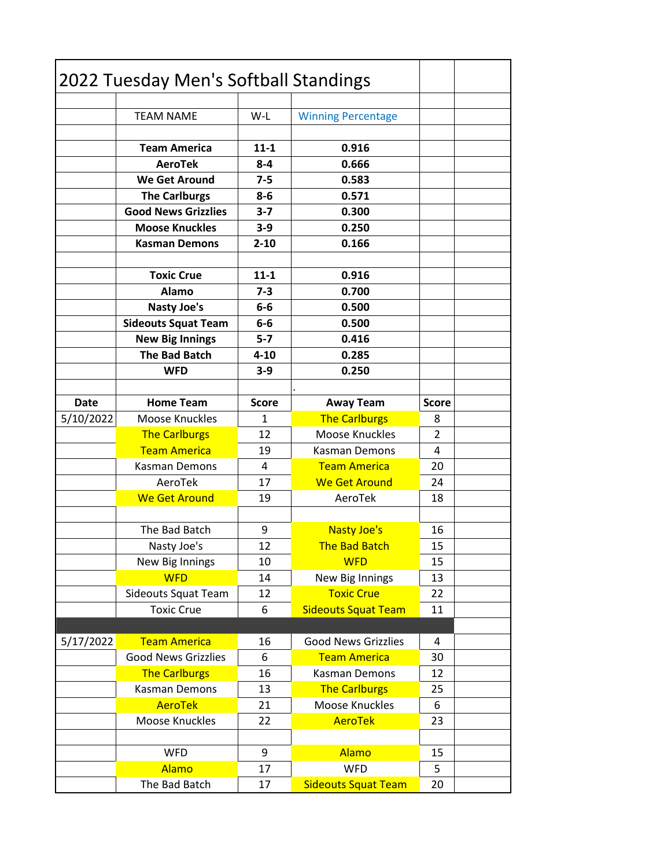|             | 2022 Tuesday Men's Softball Standings |              |                            |              |  |
|-------------|---------------------------------------|--------------|----------------------------|--------------|--|
|             | <b>TEAM NAME</b>                      | $W-L$        | <b>Winning Percentage</b>  |              |  |
|             |                                       |              |                            |              |  |
|             | <b>Team America</b>                   | $11 - 1$     | 0.916                      |              |  |
|             | <b>AeroTek</b>                        | $8 - 4$      | 0.666                      |              |  |
|             | <b>We Get Around</b>                  | $7 - 5$      | 0.583                      |              |  |
|             | <b>The Carlburgs</b>                  | $8-6$        | 0.571                      |              |  |
|             | <b>Good News Grizzlies</b>            | $3 - 7$      | 0.300                      |              |  |
|             | <b>Moose Knuckles</b>                 | $3 - 9$      | 0.250                      |              |  |
|             | <b>Kasman Demons</b>                  | $2 - 10$     | 0.166                      |              |  |
|             |                                       |              |                            |              |  |
|             | <b>Toxic Crue</b>                     | $11 - 1$     | 0.916                      |              |  |
|             | Alamo                                 | $7 - 3$      | 0.700                      |              |  |
|             | <b>Nasty Joe's</b>                    | $6-6$        | 0.500                      |              |  |
|             | <b>Sideouts Squat Team</b>            | $6-6$        | 0.500                      |              |  |
|             | <b>New Big Innings</b>                | $5 - 7$      | 0.416                      |              |  |
|             | <b>The Bad Batch</b>                  | $4 - 10$     | 0.285                      |              |  |
|             | <b>WFD</b>                            | $3-9$        | 0.250                      |              |  |
|             |                                       |              |                            |              |  |
| <b>Date</b> | <b>Home Team</b>                      | <b>Score</b> | <b>Away Team</b>           | <b>Score</b> |  |
| 5/10/2022   | Moose Knuckles                        | $\mathbf{1}$ | <b>The Carlburgs</b>       | 8            |  |
|             | <b>The Carlburgs</b>                  | 12           | Moose Knuckles             | 2            |  |
|             | <b>Team America</b>                   | 19           | <b>Kasman Demons</b>       | 4            |  |
|             | Kasman Demons                         | 4            | <b>Team America</b>        | 20           |  |
|             | AeroTek                               | 17           | <b>We Get Around</b>       | 24           |  |
|             | <b>We Get Around</b>                  | 19           | AeroTek                    | 18           |  |
|             |                                       |              |                            |              |  |
|             | The Bad Batch                         | 9            | <b>Nasty Joe's</b>         | 16           |  |
|             | Nasty Joe's                           | 12           | <b>The Bad Batch</b>       | 15           |  |
|             | New Big Innings                       | 10           | <b>WFD</b>                 | 15           |  |
|             | <b>WFD</b>                            | 14           | New Big Innings            | 13           |  |
|             | Sideouts Squat Team                   | 12           | <b>Toxic Crue</b>          | 22           |  |
|             | <b>Toxic Crue</b>                     | 6            | <b>Sideouts Squat Team</b> | 11           |  |
|             |                                       |              |                            |              |  |
| 5/17/2022   | <b>Team America</b>                   | 16           | <b>Good News Grizzlies</b> | 4            |  |
|             | <b>Good News Grizzlies</b>            | 6            | <b>Team America</b>        | 30           |  |
|             | <b>The Carlburgs</b>                  | 16           | <b>Kasman Demons</b>       | 12           |  |
|             | Kasman Demons                         | 13           | <b>The Carlburgs</b>       | 25           |  |
|             | <b>AeroTek</b>                        | 21           | Moose Knuckles             | 6            |  |
|             | Moose Knuckles                        | 22           | <b>AeroTek</b>             | 23           |  |
|             |                                       |              |                            |              |  |
|             | <b>WFD</b>                            | 9            | Alamo                      | 15           |  |
|             | Alamo                                 | 17           | <b>WFD</b>                 | 5            |  |
|             | The Bad Batch                         | 17           | <b>Sideouts Squat Team</b> | 20           |  |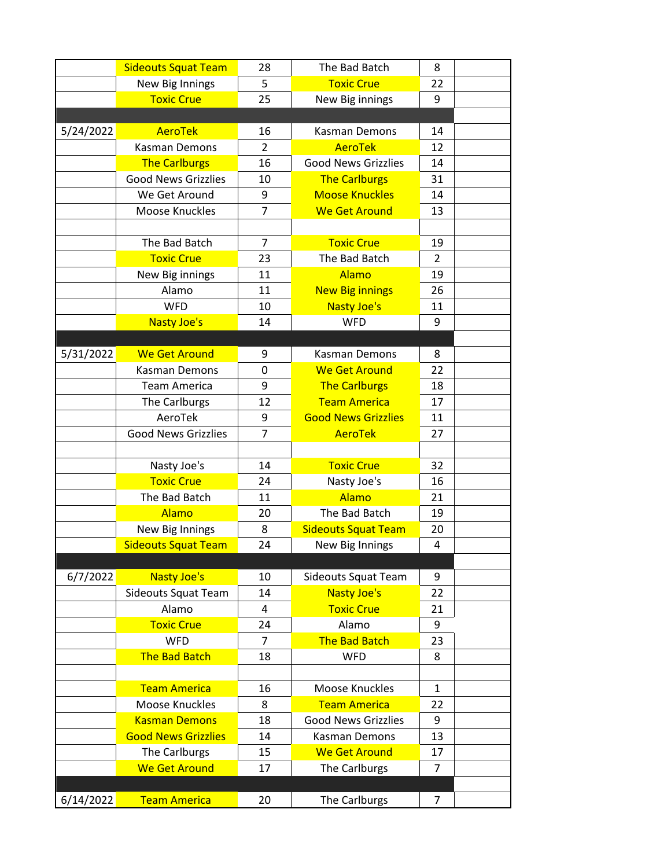|           | <b>Sideouts Squat Team</b> | 28             | The Bad Batch                         | 8              |  |
|-----------|----------------------------|----------------|---------------------------------------|----------------|--|
|           | New Big Innings            | 5              | <b>Toxic Crue</b>                     | 22             |  |
|           | <b>Toxic Crue</b>          | 25             | New Big innings                       | 9              |  |
|           |                            |                |                                       |                |  |
| 5/24/2022 | <b>AeroTek</b>             | 16             | Kasman Demons                         | 14             |  |
|           | Kasman Demons              | 2              | <b>AeroTek</b>                        | 12             |  |
|           | <b>The Carlburgs</b>       | 16             | <b>Good News Grizzlies</b>            | 14             |  |
|           | <b>Good News Grizzlies</b> | 10             | <b>The Carlburgs</b>                  | 31             |  |
|           | We Get Around              | 9              | <b>Moose Knuckles</b>                 | 14             |  |
|           | <b>Moose Knuckles</b>      | 7              | <b>We Get Around</b>                  | 13             |  |
|           |                            |                |                                       |                |  |
|           | The Bad Batch              | 7              | <b>Toxic Crue</b>                     | 19             |  |
|           | <b>Toxic Crue</b>          | 23             | The Bad Batch                         | $\overline{2}$ |  |
|           | New Big innings            | 11             | Alamo                                 | 19             |  |
|           | Alamo                      | 11             | <b>New Big innings</b>                | 26             |  |
|           | <b>WFD</b>                 | 10             | <b>Nasty Joe's</b>                    | 11             |  |
|           | <b>Nasty Joe's</b>         | 14             | <b>WFD</b>                            | 9              |  |
|           |                            |                |                                       |                |  |
| 5/31/2022 | <b>We Get Around</b>       | 9              | Kasman Demons                         | 8              |  |
|           | Kasman Demons              | 0              | <b>We Get Around</b>                  | 22             |  |
|           | <b>Team America</b>        | 9              | <b>The Carlburgs</b>                  | 18             |  |
|           | The Carlburgs              | 12             | <b>Team America</b>                   | 17             |  |
|           | AeroTek                    | 9              | <b>Good News Grizzlies</b>            | 11             |  |
|           | <b>Good News Grizzlies</b> | $\overline{7}$ | <b>AeroTek</b>                        | 27             |  |
|           |                            |                |                                       |                |  |
|           | Nasty Joe's                | 14             | <b>Toxic Crue</b>                     | 32             |  |
|           | <b>Toxic Crue</b>          | 24             | Nasty Joe's                           | 16             |  |
|           | The Bad Batch              | 11             | <b>Alamo</b>                          | 21             |  |
|           | Alamo                      | 20             | The Bad Batch                         | 19             |  |
|           | New Big Innings            | 8              | <b>Sideouts Squat Team</b>            | 20             |  |
|           | <b>Sideouts Squat Team</b> | 24             | New Big Innings                       | 4              |  |
|           |                            |                |                                       |                |  |
| 6/7/2022  | <b>Nasty Joe's</b>         | 10             | <b>Sideouts Squat Team</b>            | 9              |  |
|           | Sideouts Squat Team        | 14             | <b>Nasty Joe's</b>                    | 22             |  |
|           | Alamo                      | 4              | <b>Toxic Crue</b>                     | 21             |  |
|           | <b>Toxic Crue</b>          | 24             | Alamo                                 | 9              |  |
|           | <b>WFD</b>                 | $\overline{7}$ | <b>The Bad Batch</b>                  | 23             |  |
|           | <b>The Bad Batch</b>       | 18             | <b>WFD</b>                            | 8              |  |
|           | <b>Team America</b>        |                |                                       | $\mathbf{1}$   |  |
|           | Moose Knuckles             | 16             | Moose Knuckles<br><b>Team America</b> |                |  |
|           | <b>Kasman Demons</b>       | 8<br>18        | <b>Good News Grizzlies</b>            | 22             |  |
|           |                            |                |                                       | 9              |  |
|           | <b>Good News Grizzlies</b> | 14             | <b>Kasman Demons</b>                  | 13             |  |
|           | The Carlburgs              | 15             | <b>We Get Around</b>                  | 17             |  |
|           | <b>We Get Around</b>       | 17             | The Carlburgs                         | 7              |  |
|           |                            |                |                                       |                |  |
| 6/14/2022 | <b>Team America</b>        | 20             | The Carlburgs                         | 7              |  |